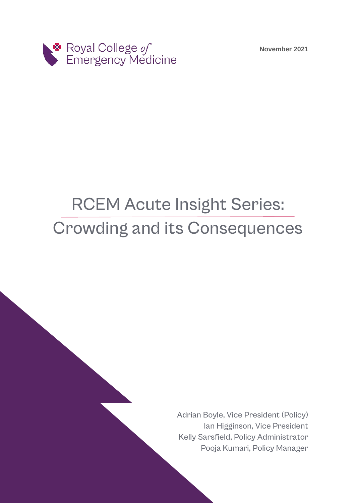**November 2021**



# RCEM Acute Insight Series: Crowding and its Consequences

Adrian Boyle, Vice President (Policy) Ian Higginson, Vice President Kelly Sarsfield, Policy Administrator Pooja Kumari, Policy Manager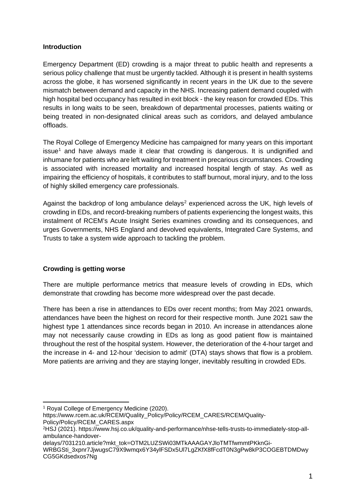#### **Introduction**

Emergency Department (ED) crowding is a major threat to public health and represents a serious policy challenge that must be urgently tackled. Although it is present in health systems across the globe, it has worsened significantly in recent years in the UK due to the severe mismatch between demand and capacity in the NHS. Increasing patient demand coupled with high hospital bed occupancy has resulted in exit block - the key reason for crowded EDs. This results in long waits to be seen, breakdown of departmental processes, patients waiting or being treated in non-designated clinical areas such as corridors, and delayed ambulance offloads.

The Royal College of Emergency Medicine has campaigned for many years on this important issue<sup>[1](#page-1-0)</sup> and have always made it clear that crowding is dangerous. It is undignified and inhumane for patients who are left waiting for treatment in precarious circumstances. Crowding is associated with increased mortality and increased hospital length of stay. As well as impairing the efficiency of hospitals, it contributes to staff burnout, moral injury, and to the loss of highly skilled emergency care professionals.

Against the backdrop of long ambulance delays<sup>[2](#page-1-1)</sup> experienced across the UK, high levels of crowding in EDs, and record-breaking numbers of patients experiencing the longest waits, this instalment of RCEM's Acute Insight Series examines crowding and its consequences, and urges Governments, NHS England and devolved equivalents, Integrated Care Systems, and Trusts to take a system wide approach to tackling the problem.

## **Crowding is getting worse**

There are multiple performance metrics that measure levels of crowding in EDs, which demonstrate that crowding has become more widespread over the past decade.

There has been a rise in attendances to EDs over recent months; from May 2021 onwards, attendances have been the highest on record for their respective month. June 2021 saw the highest type 1 attendances since records began in 2010. An increase in attendances alone may not necessarily cause crowding in EDs as long as good patient flow is maintained throughout the rest of the hospital system. However, the deterioration of the 4-hour target and the increase in 4- and 12-hour 'decision to admit' (DTA) stays shows that flow is a problem. More patients are arriving and they are staying longer, inevitably resulting in crowded EDs.

<span id="page-1-0"></span><sup>1</sup> Royal College of Emergency Medicine (2020).

https://www.rcem.ac.uk/RCEM/Quality\_Policy/Policy/RCEM\_CARES/RCEM/Quality-Policy/Policy/RCEM\_CARES.aspx

<span id="page-1-1"></span><sup>2</sup>HSJ (2021). https://www.hsj.co.uk/quality-and-performance/nhse-tells-trusts-to-immediately-stop-allambulance-handover-

delays/7031210.article?mkt\_tok=OTM2LUZSWi03MTkAAAGAYJloTMTfwmmtPKknGi-

WRBGSti\_3xpnr7JjwugsC79X9wmqx6Y34ylFSDx5Ul7LgZKfX8fFcdT0N3gPw8kP3COGEBTDMDwy CG5GKdsedxos7Ng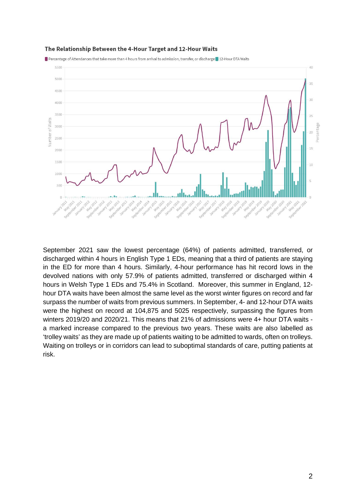

The Relationship Between the 4-Hour Target and 12-Hour Waits

Percentage of Attendances that take more than 4 hours from arrival to admission, transfer, or discharge 12-Hour DTA Waits

September 2021 saw the lowest percentage (64%) of patients admitted, transferred, or discharged within 4 hours in English Type 1 EDs, meaning that a third of patients are staying in the ED for more than 4 hours. Similarly, 4-hour performance has hit record lows in the devolved nations with only 57.9% of patients admitted, transferred or discharged within 4 hours in Welsh Type 1 EDs and 75.4% in Scotland. Moreover, this summer in England, 12 hour DTA waits have been almost the same level as the worst winter figures on record and far surpass the number of waits from previous summers. In September, 4- and 12-hour DTA waits were the highest on record at 104,875 and 5025 respectively, surpassing the figures from winters 2019/20 and 2020/21. This means that 21% of admissions were 4+ hour DTA waits a marked increase compared to the previous two years. These waits are also labelled as 'trolley waits' as they are made up of patients waiting to be admitted to wards, often on trolleys. Waiting on trolleys or in corridors can lead to suboptimal standards of care, putting patients at risk.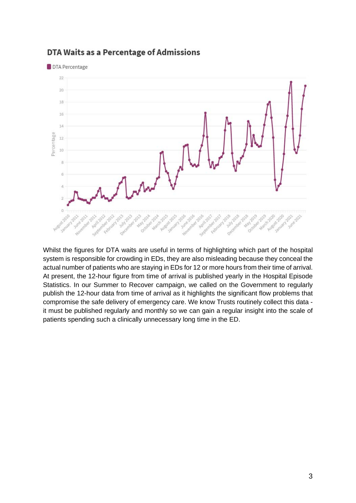

# DTA Waits as a Percentage of Admissions

Whilst the figures for DTA waits are useful in terms of highlighting which part of the hospital system is responsible for crowding in EDs, they are also misleading because they conceal the actual number of patients who are staying in EDs for 12 or more hours from their time of arrival. At present, the 12-hour figure from time of arrival is published yearly in the Hospital Episode Statistics. In our Summer to Recover campaign, we called on the Government to regularly publish the 12-hour data from time of arrival as it highlights the significant flow problems that compromise the safe delivery of emergency care. We know Trusts routinely collect this data it must be published regularly and monthly so we can gain a regular insight into the scale of patients spending such a clinically unnecessary long time in the ED.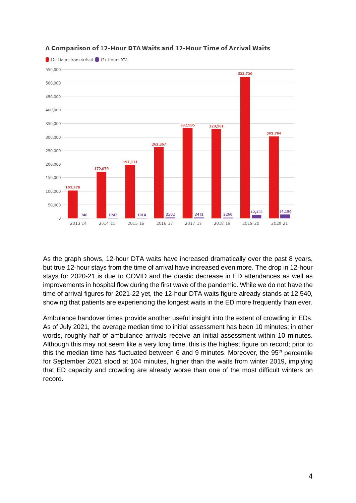

## A Comparison of 12-Hour DTA Waits and 12-Hour Time of Arrival Waits

As the graph shows, 12-hour DTA waits have increased dramatically over the past 8 years, but true 12-hour stays from the time of arrival have increased even more. The drop in 12-hour stays for 2020-21 is due to COVID and the drastic decrease in ED attendances as well as improvements in hospital flow during the first wave of the pandemic. While we do not have the time of arrival figures for 2021-22 yet, the 12-hour DTA waits figure already stands at 12,540, showing that patients are experiencing the longest waits in the ED more frequently than ever.

Ambulance handover times provide another useful insight into the extent of crowding in EDs. As of July 2021, the average median time to initial assessment has been 10 minutes; in other words, roughly half of ambulance arrivals receive an initial assessment within 10 minutes. Although this may not seem like a very long time, this is the highest figure on record; prior to this the median time has fluctuated between 6 and 9 minutes. Moreover, the 95<sup>th</sup> percentile for September 2021 stood at 104 minutes, higher than the waits from winter 2019, implying that ED capacity and crowding are already worse than one of the most difficult winters on record.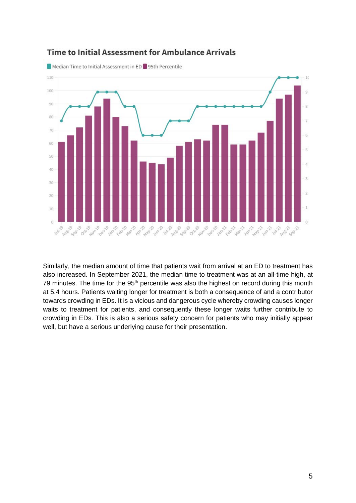

# Time to Initial Assessment for Ambulance Arrivals

Similarly, the median amount of time that patients wait from arrival at an ED to treatment has also increased. In September 2021, the median time to treatment was at an all-time high, at 79 minutes. The time for the 95<sup>th</sup> percentile was also the highest on record during this month at 5.4 hours. Patients waiting longer for treatment is both a consequence of and a contributor towards crowding in EDs. It is a vicious and dangerous cycle whereby crowding causes longer waits to treatment for patients, and consequently these longer waits further contribute to crowding in EDs. This is also a serious safety concern for patients who may initially appear well, but have a serious underlying cause for their presentation.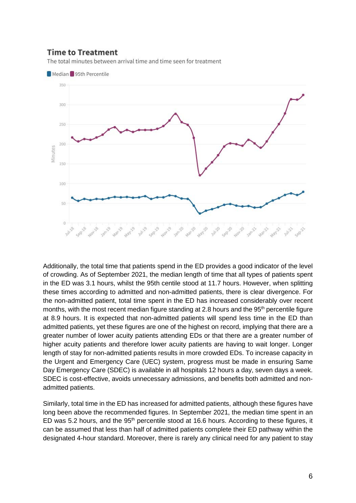## **Time to Treatment**

The total minutes between arrival time and time seen for treatment



Additionally, the total time that patients spend in the ED provides a good indicator of the level of crowding. As of September 2021, the median length of time that all types of patients spent in the ED was 3.1 hours, whilst the 95th centile stood at 11.7 hours. However, when splitting these times according to admitted and non-admitted patients, there is clear divergence. For the non-admitted patient, total time spent in the ED has increased considerably over recent months, with the most recent median figure standing at 2.8 hours and the 95<sup>th</sup> percentile figure at 8.9 hours. It is expected that non-admitted patients will spend less time in the ED than admitted patients, yet these figures are one of the highest on record, implying that there are a greater number of lower acuity patients attending EDs or that there are a greater number of higher acuity patients and therefore lower acuity patients are having to wait longer. Longer length of stay for non-admitted patients results in more crowded EDs. To increase capacity in the Urgent and Emergency Care (UEC) system, progress must be made in ensuring Same Day Emergency Care (SDEC) is available in all hospitals 12 hours a day, seven days a week. SDEC is cost-effective, avoids unnecessary admissions, and benefits both admitted and nonadmitted patients.

Similarly, total time in the ED has increased for admitted patients, although these figures have long been above the recommended figures. In September 2021, the median time spent in an ED was 5.2 hours, and the 95<sup>th</sup> percentile stood at 16.6 hours. According to these figures, it can be assumed that less than half of admitted patients complete their ED pathway within the designated 4-hour standard. Moreover, there is rarely any clinical need for any patient to stay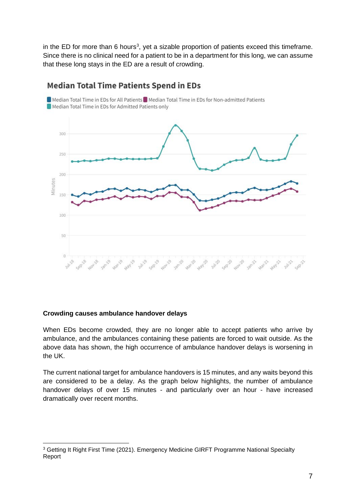in the ED for more than 6 hours<sup>[3](#page-7-0)</sup>, yet a sizable proportion of patients exceed this timeframe. Since there is no clinical need for a patient to be in a department for this long, we can assume that these long stays in the ED are a result of crowding.



## **Median Total Time Patients Spend in EDs**

#### **Crowding causes ambulance handover delays**

When EDs become crowded, they are no longer able to accept patients who arrive by ambulance, and the ambulances containing these patients are forced to wait outside. As the above data has shown, the high occurrence of ambulance handover delays is worsening in the UK.

The current national target for ambulance handovers is 15 minutes, and any waits beyond this are considered to be a delay. As the graph below highlights, the number of ambulance handover delays of over 15 minutes - and particularly over an hour - have increased dramatically over recent months.

<span id="page-7-0"></span><sup>&</sup>lt;sup>3</sup> Getting It Right First Time (2021). Emergency Medicine GIRFT Programme National Specialty Report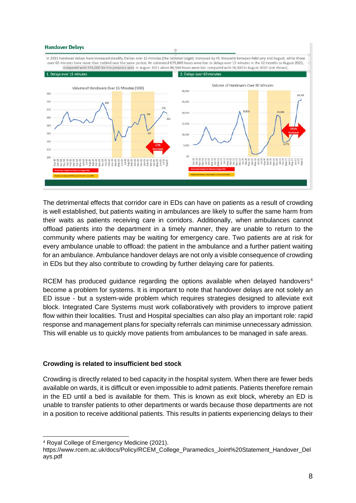#### **Handover Delays**



The detrimental effects that corridor care in EDs can have on patients as a result of crowding is well established, but patients waiting in ambulances are likely to suffer the same harm from their waits as patients receiving care in corridors. Additionally, when ambulances cannot offload patients into the department in a timely manner, they are unable to return to the community where patients may be waiting for emergency care. Two patients are at risk for every ambulance unable to offload: the patient in the ambulance and a further patient waiting for an ambulance. Ambulance handover delays are not only a visible consequence of crowding in EDs but they also contribute to crowding by further delaying care for patients.

RCEM has produced guidance regarding the options available when delayed handovers<sup>[4](#page-8-0)</sup> become a problem for systems. It is important to note that handover delays are not solely an ED issue - but a system-wide problem which requires strategies designed to alleviate exit block. Integrated Care Systems must work collaboratively with providers to improve patient flow within their localities. Trust and Hospital specialties can also play an important role: rapid response and management plans for specialty referrals can minimise unnecessary admission. This will enable us to quickly move patients from ambulances to be managed in safe areas.

#### **Crowding is related to insufficient bed stock**

Crowding is directly related to bed capacity in the hospital system. When there are fewer beds available on wards, it is difficult or even impossible to admit patients. Patients therefore remain in the ED until a bed is available for them. This is known as exit block, whereby an ED is unable to transfer patients to other departments or wards because those departments are not in a position to receive additional patients. This results in patients experiencing delays to their

<span id="page-8-0"></span><sup>4</sup> Royal College of Emergency Medicine (2021).

https://www.rcem.ac.uk/docs/Policy/RCEM\_College\_Paramedics\_Joint%20Statement\_Handover\_Del ays.pdf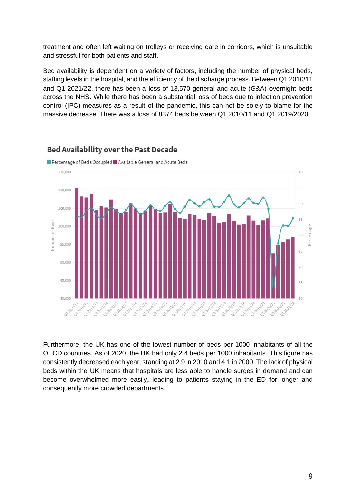treatment and often left waiting on trolleys or receiving care in corridors, which is unsuitable and stressful for both patients and staff.

Bed availability is dependent on a variety of factors, including the number of physical beds, staffing levels in the hospital, and the efficiency of the discharge process. Between Q1 2010/11 and Q1 2021/22, there has been a loss of 13,570 general and acute (G&A) overnight beds across the NHS. While there has been a substantial loss of beds due to infection prevention control (IPC) measures as a result of the pandemic, this can not be solely to blame for the massive decrease. There was a loss of 8374 beds between Q1 2010/11 and Q1 2019/2020.



#### **Bed Availability over the Past Decade**

Furthermore, the UK has one of the lowest number of beds per 1000 inhabitants of all the OECD countries. As of 2020, the UK had only 2.4 beds per 1000 inhabitants. This figure has consistently decreased each year, standing at 2.9 in 2010 and 4.1 in 2000. The lack of physical beds within the UK means that hospitals are less able to handle surges in demand and can become overwhelmed more easily, leading to patients staying in the ED for longer and consequently more crowded departments.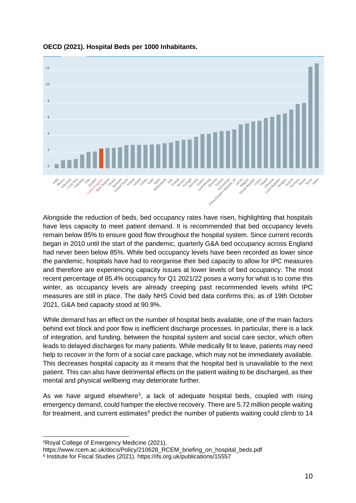

**OECD (2021). Hospital Beds per 1000 Inhabitants.**

Alongside the reduction of beds, bed occupancy rates have risen, highlighting that hospitals have less capacity to meet patient demand. It is recommended that bed occupancy levels remain below 85% to ensure good flow throughout the hospital system. Since current records began in 2010 until the start of the pandemic, quarterly G&A bed occupancy across England had never been below 85%. While bed occupancy levels have been recorded as lower since the pandemic, hospitals have had to reorganise their bed capacity to allow for IPC measures and therefore are experiencing capacity issues at lower levels of bed occupancy. The most recent percentage of 85.4% occupancy for Q1 2021/22 poses a worry for what is to come this winter, as occupancy levels are already creeping past recommended levels whilst IPC measures are still in place. The daily NHS Covid bed data confirms this; as of 19th October 2021, G&A bed capacity stood at 90.9%.

While demand has an effect on the number of hospital beds available, one of the main factors behind exit block and poor flow is inefficient discharge processes. In particular, there is a lack of integration, and funding, between the hospital system and social care sector, which often leads to delayed discharges for many patients. While medically fit to leave, patients may need help to recover in the form of a social care package, which may not be immediately available. This decreases hospital capacity as it means that the hospital bed is unavailable to the next patient. This can also have detrimental effects on the patient waiting to be discharged, as their mental and physical wellbeing may deteriorate further.

As we have argued elsewhere<sup>[5](#page-10-0)</sup>, a lack of adequate hospital beds, coupled with rising emergency demand, could hamper the elective recovery. There are 5.72 million people waiting for treatment, and current estimates $6$  predict the number of patients waiting could climb to 14

<span id="page-10-0"></span><sup>5</sup>Royal College of Emergency Medicine (2021).

https://www.rcem.ac.uk/docs/Policy/210628\_RCEM\_briefing\_on\_hospital\_beds.pdf

<span id="page-10-1"></span><sup>6</sup> Institute for Fiscal Studies (2021). https://ifs.org.uk/publications/15557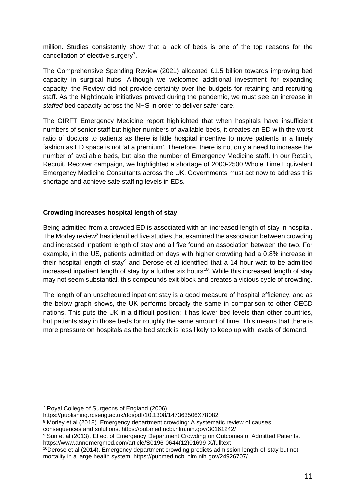million. Studies consistently show that a lack of beds is one of the top reasons for the cancellation of elective surgery<sup>[7](#page-11-0)</sup>.

The Comprehensive Spending Review (2021) allocated £1.5 billion towards improving bed capacity in surgical hubs. Although we welcomed additional investment for expanding capacity, the Review did not provide certainty over the budgets for retaining and recruiting staff. As the Nightingale initiatives proved during the pandemic, we must see an increase in *staffed* bed capacity across the NHS in order to deliver safer care.

The GIRFT Emergency Medicine report highlighted that when hospitals have insufficient numbers of senior staff but higher numbers of available beds, it creates an ED with the worst ratio of doctors to patients as there is little hospital incentive to move patients in a timely fashion as ED space is not 'at a premium'. Therefore, there is not only a need to increase the number of available beds, but also the number of Emergency Medicine staff. In our Retain, Recruit, Recover campaign, we highlighted a shortage of 2000-2500 Whole Time Equivalent Emergency Medicine Consultants across the UK. Governments must act now to address this shortage and achieve safe staffing levels in EDs.

#### **Crowding increases hospital length of stay**

Being admitted from a crowded ED is associated with an increased length of stay in hospital. The Morley review<sup>[8](#page-11-1)</sup> has identified five studies that examined the association between crowding and increased inpatient length of stay and all five found an association between the two. For example, in the US, patients admitted on days with higher crowding had a 0.8% increase in their hospital length of stay<sup>[9](#page-11-2)</sup> and [Derose et al](https://pubmed.ncbi.nlm.nih.gov/24926707/) identified that a 14 hour wait to be admitted increased inpatient length of stay by a further six hours<sup>10</sup>. While this increased length of stay may not seem substantial, this compounds exit block and creates a vicious cycle of crowding.

The length of an unscheduled inpatient stay is a good measure of hospital efficiency, and as the below graph shows, the UK performs broadly the same in comparison to other OECD nations. This puts the UK in a difficult position: it has lower bed levels than other countries, but patients stay in those beds for roughly the same amount of time. This means that there is more pressure on hospitals as the bed stock is less likely to keep up with levels of demand.

<span id="page-11-0"></span><sup>7</sup> Royal College of Surgeons of England (2006).

https://publishing.rcseng.ac.uk/doi/pdf/10.1308/147363506X78082

<span id="page-11-1"></span><sup>8</sup> Morley et al (2018). Emergency department crowding: A systematic review of causes,

consequences and solutions. https://pubmed.ncbi.nlm.nih.gov/30161242/

<span id="page-11-2"></span><sup>9</sup> Sun et al (2013). Effect of Emergency Department Crowding on Outcomes of Admitted Patients. https://www.annemergmed.com/article/S0196-0644(12)01699-X/fulltext

<span id="page-11-3"></span><sup>10</sup>Derose et al (2014). Emergency department crowding predicts admission length-of-stay but not mortality in a large health system. https://pubmed.ncbi.nlm.nih.gov/24926707/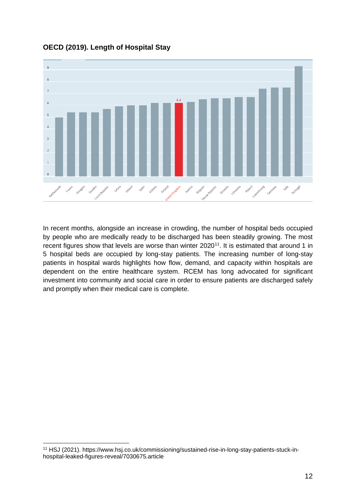

**OECD (2019). Length of Hospital Stay**

In recent months, alongside an increase in crowding, the number of hospital beds occupied by people who are medically ready to be discharged has been steadily growing. The most recent figures show that levels are worse than winter 2020<sup>[11](#page-12-0)</sup>. It is estimated that around 1 in 5 hospital beds are occupied by long-stay patients. The increasing number of long-stay patients in hospital wards highlights how flow, demand, and capacity within hospitals are dependent on the entire healthcare system. RCEM has long advocated for significant investment into community and social care in order to ensure patients are discharged safely and promptly when their medical care is complete.

<span id="page-12-0"></span><sup>11</sup> HSJ (2021). https://www.hsj.co.uk/commissioning/sustained-rise-in-long-stay-patients-stuck-inhospital-leaked-figures-reveal/7030675.article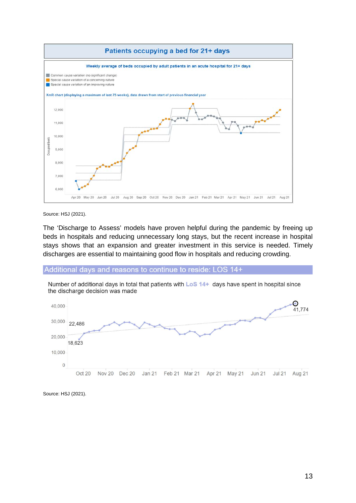

Source: HSJ (2021).

The 'Discharge to Assess' models have proven helpful during the pandemic by freeing up beds in hospitals and reducing unnecessary long stays, but the recent increase in hospital stays shows that an expansion and greater investment in this service is needed. Timely discharges are essential to maintaining good flow in hospitals and reducing crowding.

#### Additional days and reasons to continue to reside: LOS 14+

Number of additional days in total that patients with LoS 14+ days have spent in hospital since the discharge decision was made



Source: HSJ (2021).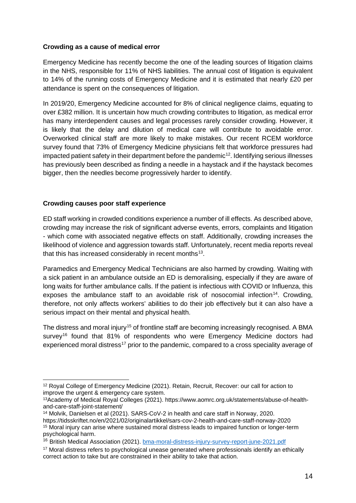#### **Crowding as a cause of medical error**

Emergency Medicine has recently become the one of the leading sources of litigation claims in the NHS, responsible for 11% of NHS liabilities. The annual cost of litigation is equivalent to 14% of the running costs of Emergency Medicine and it is estimated that nearly £20 per attendance is spent on the consequences of litigation.

In 2019/20, Emergency Medicine accounted for 8% of clinical negligence claims, equating to over £382 million. It is uncertain how much crowding contributes to litigation, as medical error has many interdependent causes and legal processes rarely consider crowding. However, it is likely that the delay and dilution of medical care will contribute to avoidable error. Overworked clinical staff are more likely to make mistakes. Our recent RCEM workforce survey found that 73% of Emergency Medicine physicians felt that workforce pressures had impacted patient safety in their department before the pandemic<sup>12</sup>. Identifying serious illnesses has previously been described as finding a needle in a haystack and if the haystack becomes bigger, then the needles become progressively harder to identify.

## **Crowding causes poor staff experience**

ED staff working in crowded conditions experience a number of ill effects. As described above, crowding may increase the risk of significant adverse events, errors, complaints and litigation - which come with associated negative effects on staff. Additionally, crowding increases the likelihood of violence and aggression towards staff. Unfortunately, recent media reports reveal that [this has increased considerably in recent months](https://www.aomrc.org.uk/statements/abuse-of-health-and-care-staff-joint-statement/) $13$ .

Paramedics and Emergency Medical Technicians are also harmed by crowding. Waiting with a sick patient in an ambulance outside an ED is demoralising, especially if they are aware of long waits for further ambulance calls. If the patient is infectious with COVID or Influenza, this exposes the ambulance staff to an avoidable risk of nosocomial infection<sup>14</sup>. Crowding, therefore, not only affects workers' abilities to do their job effectively but it can also have a serious impact on their mental and physical health.

The distress and moral injury<sup>15</sup> of frontline staff are becoming increasingly recognised. A BMA survey<sup>[16](#page-14-4)</sup> found that 81% of respondents who were Emergency Medicine doctors had experienced moral distress<sup>[17](#page-14-5)</sup> prior to the pandemic, compared to a cross speciality average of

<span id="page-14-0"></span><sup>12</sup> Royal College of Emergency Medicine (2021). Retain, Recruit, Recover: our call for action to improve the urgent & emergency care system.

<span id="page-14-1"></span><sup>13</sup>Academy of Medical Royal Colleges (2021). https://www.aomrc.org.uk/statements/abuse-of-healthand-care-staff-joint-statement/

<span id="page-14-2"></span><sup>14</sup> Molvik, Danielsen et al (2021). SARS-CoV-2 in health and care staff in Norway, 2020. https://tidsskriftet.no/en/2021/02/originalartikkel/sars-cov-2-health-and-care-staff-norway-2020

<span id="page-14-3"></span><sup>15</sup> Moral injury can arise where sustained moral distress leads to impaired function or longer-term psychological harm.

<span id="page-14-4"></span><sup>&</sup>lt;sup>16</sup> British Medical Association (2021). **bma-moral-distress-injury-survey-report-june-2021.pdf** 

<span id="page-14-5"></span><sup>&</sup>lt;sup>17</sup> Moral distress refers to psychological unease generated where professionals identify an ethically correct action to take but are constrained in their ability to take that action.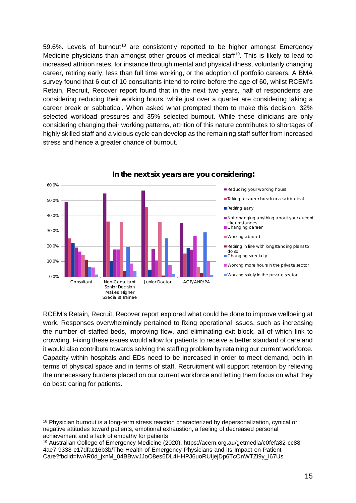59.6%. Levels of burnout<sup>[18](#page-15-0)</sup> are consistently reported to be higher amongst Emergency Medicine physicians than amongst other groups of medical staff<sup>[19](#page-15-1)</sup>. This is likely to lead to increased attrition rates, for instance through mental and physical illness, voluntarily changing career, retiring early, less than full time working, or the adoption of portfolio careers. A BMA survey found that 6 out of 10 consultants intend to retire before the age of 60, whilst RCEM's Retain, Recruit, Recover report found that in the next two years, half of respondents are considering reducing their working hours, while just over a quarter are considering taking a career break or sabbatical. When asked what prompted them to make this decision, 32% selected workload pressures and 35% selected burnout. While these clinicians are only considering changing their working patterns, attrition of this nature contributes to shortages of highly skilled staff and a vicious cycle can develop as the remaining staff suffer from increased stress and hence a greater chance of burnout.



#### **In the next six years are you considering:**

RCEM's Retain, Recruit, Recover report explored what could be done to improve wellbeing at work. Responses overwhelmingly pertained to fixing operational issues, such as increasing the number of staffed beds, improving flow, and eliminating exit block, all of which link to crowding. Fixing these issues would allow for patients to receive a better standard of care and it would also contribute towards solving the staffing problem by retaining our current workforce. Capacity within hospitals and EDs need to be increased in order to meet demand, both in terms of physical space and in terms of staff. Recruitment will support retention by relieving the unnecessary burdens placed on our current workforce and letting them focus on what they do best: caring for patients.

<span id="page-15-0"></span><sup>&</sup>lt;sup>18</sup> Physician burnout is a long-term stress reaction characterized by depersonalization, cynical or negative attitudes toward patients, emotional exhaustion, a feeling of decreased personal achievement and a lack of empathy for patients

<span id="page-15-1"></span><sup>19</sup> Australian College of Emergency Medicine (2020). https://acem.org.au/getmedia/c0fefa82-cc88- 4ae7-9338-e17dfac16b3b/The-Health-of-Emergency-Physicians-and-its-Impact-on-Patient-Care?fbclid=IwAR0d\_jxnM\_04BBwvJJoO8es6DL4HHPJ6uoRUIjejDp6TcOnWTZi9y\_I67Us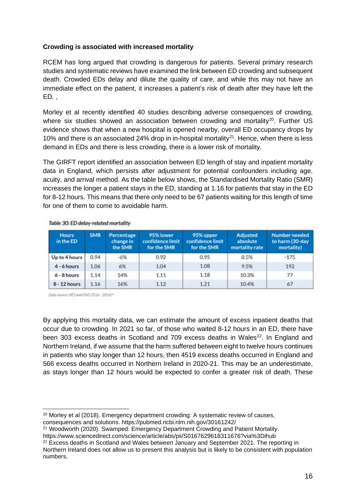#### **Crowding is associated with increased mortality**

RCEM has long argued that crowding is dangerous for patients. Several primary research studies and systematic reviews have examined the link between ED crowding and subsequent death. Crowded EDs delay and dilute the quality of care, and while this may not have an immediate effect on the patient, it increases a patient's risk of death after they have left the ED. ,

Morley et al recently identified 40 studies describing adverse consequences of crowding, where six studies showed an association between crowding and mortality<sup>[20](#page-16-0)</sup>. Further US evidence shows that when a new hospital is opened nearby, overall ED occupancy drops by 10% and there is an associated 24% drop in in-hospital mortality<sup>21</sup>. Hence, when there is less demand in EDs and there is less crowding, there is a lower risk of mortality.

The GIRFT report identified an association between ED length of stay and inpatient mortality data in England, which persists after adjustment for potential confounders including age, acuity, and arrival method. As the table below shows, the Standardised Mortality Ratio (SMR) increases the longer a patient stays in the ED, standing at 1.16 for patients that stay in the ED for 8-12 hours. This means that there only need to be 67 patients waiting for this length of time for one of them to come to avoidable harm.

| <b>Hours</b><br>in the ED | <b>SMR</b> | Percentage<br>change in<br>the SMR | 95% lower<br>confidence limit<br>for the SMR | 95% upper<br>confidence limit<br>for the SMR | <b>Adjusted</b><br>absolute<br>mortality rate | Number needed<br>to harm (30-day<br>mortality) |
|---------------------------|------------|------------------------------------|----------------------------------------------|----------------------------------------------|-----------------------------------------------|------------------------------------------------|
| Up to 4 hours             | 0.94       | $-6%$                              | 0.92                                         | 0.95                                         | 8.5%                                          | $-175$                                         |
| $4 - 6$ hours             | 1.06       | 6%                                 | 1.04                                         | 1.08                                         | 9.5%                                          | 192                                            |
| $6 - 8$ hours             | 1.14       | 14%                                | 1.11                                         | 1.18                                         | 10.3%                                         | 77                                             |
| $8 - 12$ hours            | 1.16       | 16%                                | 1.12                                         | 1.21                                         | 10.4%                                         | 67                                             |

Table 30: ED delay-related mortality

Data source: HES and ONS 2016 - 2018<sup>(a)</sup>

By applying this mortality data, we can estimate the amount of excess inpatient deaths that occur due to crowding. In 2021 so far, of those who waited 8-12 hours in an ED, there have been 303 excess deaths in Scotland and 709 excess deaths in Wales<sup>22</sup>. In England and Northern Ireland, if we assume that the harm suffered between eight to twelve hours continues in patients who stay longer than 12 hours, then 4519 excess deaths occurred in England and 566 excess deaths occurred in Northern Ireland in 2020-21. This may be an underestimate, as stays longer than 12 hours would be expected to confer a greater risk of death. These

<span id="page-16-0"></span><sup>20</sup> Morley et al (2018). Emergency department crowding: A systematic review of causes,

consequences and solutions. https://pubmed.ncbi.nlm.nih.gov/30161242/

<span id="page-16-1"></span><sup>21</sup> Woodworth (2020). Swamped: Emergency Department Crowding and Patient Mortality.

https://www.sciencedirect.com/science/article/abs/pii/S0167629618311676?via%3Dihub

<span id="page-16-2"></span> $22$  Excess deaths in Scotland and Wales between January and September 2021. The reporting in Northern Ireland does not allow us to present this analysis but is likely to be consistent with population numbers.